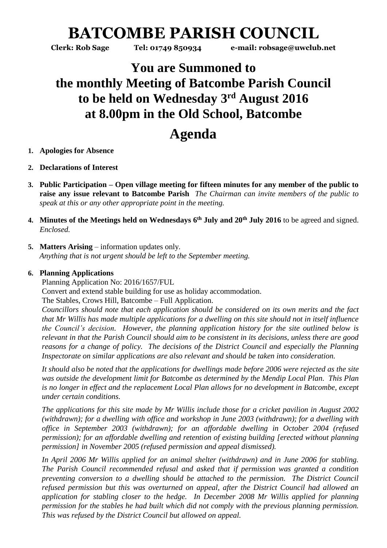# **BATCOMBE PARISH COUNCIL**

**Clerk: Rob Sage Tel: 01749 850934 e-mail: robsage@uwclub.net**

### **You are Summoned to the monthly Meeting of Batcombe Parish Council to be held on Wednesday 3 rd August 2016 at 8.00pm in the Old School, Batcombe**

## **Agenda**

- **1. Apologies for Absence**
- **2. Declarations of Interest**
- **3. Public Participation – Open village meeting for fifteen minutes for any member of the public to raise any issue relevant to Batcombe Parish** *The Chairman can invite members of the public to speak at this or any other appropriate point in the meeting.*
- **4. Minutes of the Meetings held on Wednesdays 6 th July and 20th July 2016** to be agreed and signed. *Enclosed.*
- **5. Matters Arising** information updates only. *Anything that is not urgent should be left to the September meeting.*

#### **6. Planning Applications**

Planning Application No: 2016/1657/FUL Convert and extend stable building for use as holiday accommodation. The Stables, Crows Hill, Batcombe – Full Application.

*Councillors should note that each application should be considered on its own merits and the fact that Mr Willis has made multiple applications for a dwelling on this site should not in itself influence the Council's decision. However, the planning application history for the site outlined below is relevant in that the Parish Council should aim to be consistent in its decisions, unless there are good reasons for a change of policy. The decisions of the District Council and especially the Planning Inspectorate on similar applications are also relevant and should be taken into consideration.*

*It should also be noted that the applications for dwellings made before 2006 were rejected as the site was outside the development limit for Batcombe as determined by the Mendip Local Plan. This Plan is no longer in effect and the replacement Local Plan allows for no development in Batcombe, except under certain conditions.* 

*The applications for this site made by Mr Willis include those for a cricket pavilion in August 2002 (withdrawn); for a dwelling with office and workshop in June 2003 (withdrawn); for a dwelling with office in September 2003 (withdrawn); for an affordable dwelling in October 2004 (refused permission); for an affordable dwelling and retention of existing building [erected without planning permission] in November 2005 (refused permission and appeal dismissed).*

*In April 2006 Mr Willis applied for an animal shelter (withdrawn) and in June 2006 for stabling. The Parish Council recommended refusal and asked that if permission was granted a condition preventing conversion to a dwelling should be attached to the permission. The District Council refused permission but this was overturned on appeal, after the District Council had allowed an application for stabling closer to the hedge. In December 2008 Mr Willis applied for planning permission for the stables he had built which did not comply with the previous planning permission. This was refused by the District Council but allowed on appeal.*